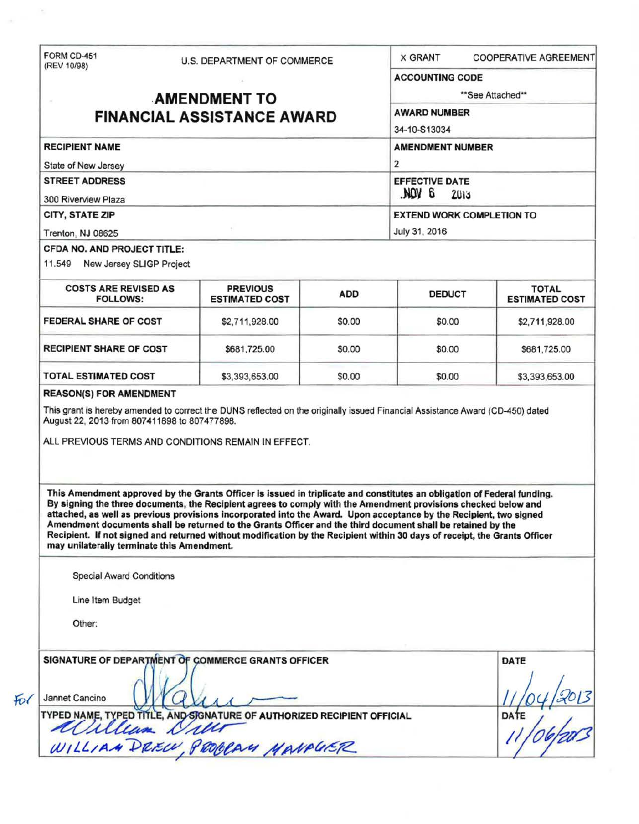(REV 10/98)

 $\alpha$ 

 $Fo($ 

FORM CD-451 U.S. DEPARTMENT OF COMMERCE X GRANT COOPERATIVE AGREEMENT

| (REV 10/98)                                                                                                                                                                                                                                                                                                                                                                                                                                                                                                                                                                                                                                                        | U.S. DEPARTMENT OF COMMERCE              |            |                                         |                                       |  |
|--------------------------------------------------------------------------------------------------------------------------------------------------------------------------------------------------------------------------------------------------------------------------------------------------------------------------------------------------------------------------------------------------------------------------------------------------------------------------------------------------------------------------------------------------------------------------------------------------------------------------------------------------------------------|------------------------------------------|------------|-----------------------------------------|---------------------------------------|--|
|                                                                                                                                                                                                                                                                                                                                                                                                                                                                                                                                                                                                                                                                    |                                          |            | <b>ACCOUNTING CODE</b>                  |                                       |  |
| <b>AMENDMENT TO</b><br><b>FINANCIAL ASSISTANCE AWARD</b>                                                                                                                                                                                                                                                                                                                                                                                                                                                                                                                                                                                                           |                                          |            | **See Attached**                        |                                       |  |
|                                                                                                                                                                                                                                                                                                                                                                                                                                                                                                                                                                                                                                                                    |                                          |            | <b>AWARD NUMBER</b>                     |                                       |  |
|                                                                                                                                                                                                                                                                                                                                                                                                                                                                                                                                                                                                                                                                    |                                          |            | 34-10-S13034                            |                                       |  |
| <b>RECIPIENT NAME</b>                                                                                                                                                                                                                                                                                                                                                                                                                                                                                                                                                                                                                                              |                                          |            | <b>AMENDMENT NUMBER</b>                 |                                       |  |
| State of New Jersey                                                                                                                                                                                                                                                                                                                                                                                                                                                                                                                                                                                                                                                |                                          |            | 2                                       |                                       |  |
| <b>STREET ADDRESS</b>                                                                                                                                                                                                                                                                                                                                                                                                                                                                                                                                                                                                                                              |                                          |            | <b>EFFECTIVE DATE</b><br>a vov.<br>2013 |                                       |  |
| 300 Riverview Plaza                                                                                                                                                                                                                                                                                                                                                                                                                                                                                                                                                                                                                                                |                                          |            |                                         |                                       |  |
| CITY, STATE ZIP                                                                                                                                                                                                                                                                                                                                                                                                                                                                                                                                                                                                                                                    |                                          |            | <b>EXTEND WORK COMPLETION TO</b>        |                                       |  |
| Trenton, NJ 08625<br>CFDA NO. AND PROJECT TITLE:                                                                                                                                                                                                                                                                                                                                                                                                                                                                                                                                                                                                                   |                                          |            | July 31, 2016                           |                                       |  |
| 11.549 New Jersey SLIGP Project                                                                                                                                                                                                                                                                                                                                                                                                                                                                                                                                                                                                                                    |                                          |            |                                         |                                       |  |
| <b>COSTS ARE REVISED AS</b><br><b>FOLLOWS:</b>                                                                                                                                                                                                                                                                                                                                                                                                                                                                                                                                                                                                                     | <b>PREVIOUS</b><br><b>ESTIMATED COST</b> | <b>ADD</b> | <b>DEDUCT</b>                           | <b>TOTAL</b><br><b>ESTIMATED COST</b> |  |
| FEDERAL SHARE OF COST                                                                                                                                                                                                                                                                                                                                                                                                                                                                                                                                                                                                                                              | \$2,711,928.00                           | \$0.00     | \$0.00                                  | \$2,711,928.00                        |  |
| <b>RECIPIENT SHARE OF COST</b>                                                                                                                                                                                                                                                                                                                                                                                                                                                                                                                                                                                                                                     | \$681,725.00                             | \$0.00     | \$0.00                                  | \$681,725.00                          |  |
| <b>TOTAL ESTIMATED COST</b>                                                                                                                                                                                                                                                                                                                                                                                                                                                                                                                                                                                                                                        | \$3,393,653.00                           | \$0.00     | \$0.00                                  | \$3,393,653.00                        |  |
| ALL PREVIOUS TERMS AND CONDITIONS REMAIN IN EFFECT.<br>This Amendment approved by the Grants Officer is issued in triplicate and constitutes an obligation of Federal funding.<br>By signing the three documents, the Recipient agrees to comply with the Amendment provisions checked below and<br>attached, as well as previous provisions incorporated into the Award. Upon acceptance by the Recipient, two signed<br>Amendment documents shall be returned to the Grants Officer and the third document shall be retained by the<br>Recipient. If not signed and returned without modification by the Recipient within 30 days of receipt, the Grants Officer |                                          |            |                                         |                                       |  |
| may unilaterally terminate this Amendment.<br><b>Special Award Conditions</b>                                                                                                                                                                                                                                                                                                                                                                                                                                                                                                                                                                                      |                                          |            |                                         |                                       |  |
| Line Item Budget                                                                                                                                                                                                                                                                                                                                                                                                                                                                                                                                                                                                                                                   |                                          |            |                                         |                                       |  |
| Other:                                                                                                                                                                                                                                                                                                                                                                                                                                                                                                                                                                                                                                                             |                                          |            |                                         |                                       |  |
| SIGNATURE OF DEPARTMENT OF COMMERCE GRANTS OFFICER<br>Jannet Cancino<br>TYPED NAME, TYPED TITLE, AND SIGNATURE OF AUTHORIZED RECIPIENT OFFICIAL                                                                                                                                                                                                                                                                                                                                                                                                                                                                                                                    |                                          |            |                                         | DATE<br><b>DATE</b>                   |  |
| William<br>WILLIAM DREW, PROBRAY MANAGER                                                                                                                                                                                                                                                                                                                                                                                                                                                                                                                                                                                                                           |                                          |            |                                         |                                       |  |